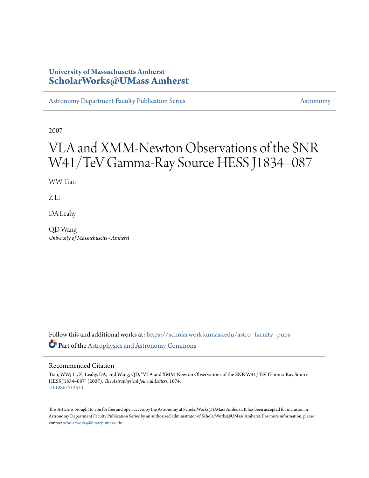# **University of Massachusetts Amherst [ScholarWorks@UMass Amherst](https://scholarworks.umass.edu?utm_source=scholarworks.umass.edu%2Fastro_faculty_pubs%2F1074&utm_medium=PDF&utm_campaign=PDFCoverPages)**

[Astronomy Department Faculty Publication Series](https://scholarworks.umass.edu/astro_faculty_pubs?utm_source=scholarworks.umass.edu%2Fastro_faculty_pubs%2F1074&utm_medium=PDF&utm_campaign=PDFCoverPages) [Astronomy](https://scholarworks.umass.edu/astro?utm_source=scholarworks.umass.edu%2Fastro_faculty_pubs%2F1074&utm_medium=PDF&utm_campaign=PDFCoverPages) Astronomy

2007

# VLA and XMM-Newton Observations of the SNR W41/TeV Gamma-Ray Source HESS J1834–087

WW Tian

Z Li

DA Leahy

QD Wang *University of Massachusetts - Amherst*

Follow this and additional works at: [https://scholarworks.umass.edu/astro\\_faculty\\_pubs](https://scholarworks.umass.edu/astro_faculty_pubs?utm_source=scholarworks.umass.edu%2Fastro_faculty_pubs%2F1074&utm_medium=PDF&utm_campaign=PDFCoverPages) Part of the [Astrophysics and Astronomy Commons](http://network.bepress.com/hgg/discipline/123?utm_source=scholarworks.umass.edu%2Fastro_faculty_pubs%2F1074&utm_medium=PDF&utm_campaign=PDFCoverPages)

## Recommended Citation

Tian, WW; Li, Z; Leahy, DA; and Wang, QD, "VLA and XMM-Newton Observations of the SNR W41/TeV Gamma-Ray Source HESS J1834–087" (2007). *The Astrophysical Journal Letters*. 1074. <10.1086/512544>

This Article is brought to you for free and open access by the Astronomy at ScholarWorks@UMass Amherst. It has been accepted for inclusion in Astronomy Department Faculty Publication Series by an authorized administrator of ScholarWorks@UMass Amherst. For more information, please contact [scholarworks@library.umass.edu](mailto:scholarworks@library.umass.edu).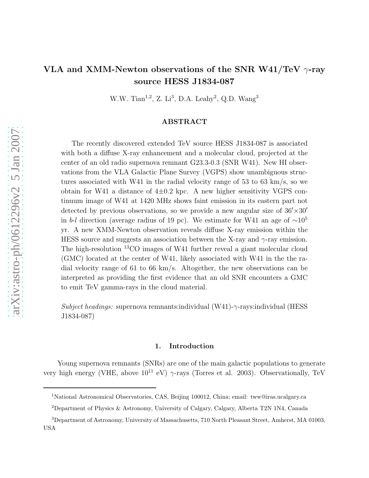# VLA and XMM-Newton observations of the SNR W41/TeV  $\gamma$ -ray source HESS J1834-087

W.W. Tian<sup>1,2</sup>, Z. Li<sup>3</sup>, D.A. Leahy<sup>2</sup>, Q.D. Wang<sup>3</sup>

## ABSTRACT

The recently discovered extended TeV source HESS J1834-087 is associated with both a diffuse X-ray enhancement and a molecular cloud, projected at the center of an old radio supernova remnant G23.3-0.3 (SNR W41). New HI observations from the VLA Galactic Plane Survey (VGPS) show unambiguous structures associated with W41 in the radial velocity range of 53 to 63 km/s, so we obtain for W41 a distance of  $4\pm0.2$  kpc. A new higher sensitivity VGPS continuum image of W41 at 1420 MHz shows faint emission in its eastern part not detected by previous observations, so we provide a new angular size of  $36' \times 30'$ in b-l direction (average radius of 19 pc). We estimate for W41 an age of  $\sim 10^5$ yr. A new XMM-Newton observation reveals diffuse X-ray emission within the HESS source and suggests an association between the X-ray and  $\gamma$ -ray emission. The high-resolution <sup>13</sup>CO images of W41 further reveal a giant molecular cloud (GMC) located at the center of W41, likely associated with W41 in the the radial velocity range of 61 to 66 km/s. Altogether, the new observations can be interpreted as providing the first evidence that an old SNR encounters a GMC to emit TeV gamma-rays in the cloud material.

Subject headings: supernova remnants:individual (W41)- $\gamma$ -rays:individual (HESS) J1834-087)

### 1. Introduction

Young supernova remnants (SNRs) are one of the main galactic populations to generate very high energy (VHE, above  $10^{11}$  eV)  $\gamma$ -rays (Torres et al. 2003). Observationally, TeV

<sup>1</sup>National Astronomical Observatories, CAS, Beijing 100012, China; email: tww@iras.ucalgary.ca

<sup>2</sup>Department of Physics & Astronomy, University of Calgary, Calgary, Alberta T2N 1N4, Canada

<sup>3</sup>Department of Astronomy, University of Massachusetts, 710 North Pleasant Street, Amherst, MA 01003, USA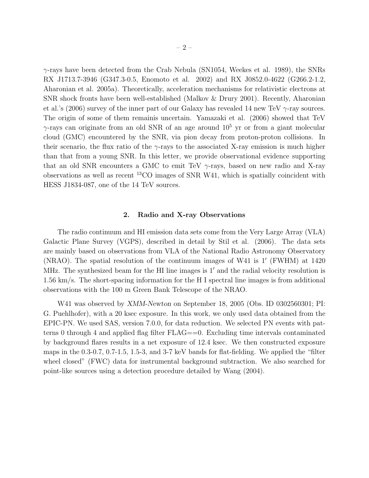γ-rays have been detected from the Crab Nebula (SN1054, Weekes et al. 1989), the SNRs RX J1713.7-3946 (G347.3-0.5, Enomoto et al. 2002) and RX J0852.0-4622 (G266.2-1.2, Aharonian et al. 2005a). Theoretically, acceleration mechanisms for relativistic electrons at SNR shock fronts have been well-established (Malkov & Drury 2001). Recently, Aharonian et al.'s (2006) survey of the inner part of our Galaxy has revealed 14 new TeV  $\gamma$ -ray sources. The origin of some of them remainis uncertain. Yamazaki et al. (2006) showed that TeV  $\gamma$ -rays can originate from an old SNR of an age around  $10^5$  yr or from a giant molecular cloud (GMC) encountered by the SNR, via pion decay from proton-proton collisions. In their scenario, the flux ratio of the  $\gamma$ -rays to the associated X-ray emission is much higher than that from a young SNR. In this letter, we provide observational evidence supporting that an old SNR encounters a GMC to emit TeV  $\gamma$ -rays, based on new radio and X-ray observations as well as recent <sup>13</sup>CO images of SNR W41, which is spatially coincident with HESS J1834-087, one of the 14 TeV sources.

#### 2. Radio and X-ray Observations

The radio continuum and HI emission data sets come from the Very Large Array (VLA) Galactic Plane Survey (VGPS), described in detail by Stil et al. (2006). The data sets are mainly based on observations from VLA of the National Radio Astronomy Observatory (NRAO). The spatial resolution of the continuum images of W41 is 1′ (FWHM) at 1420 MHz. The synthesized beam for the HI line images is 1′ and the radial velocity resolution is 1.56 km/s. The short-spacing information for the H I spectral line images is from additional observations with the 100 m Green Bank Telescope of the NRAO.

W41 was observed by XMM-Newton on September 18, 2005 (Obs. ID 0302560301; PI: G. Puehlhofer), with a 20 ksec exposure. In this work, we only used data obtained from the EPIC-PN. We used SAS, version 7.0.0, for data reduction. We selected PN events with patterns 0 through 4 and applied flag filter FLAG==0. Excluding time intervals contaminated by background flares results in a net exposure of 12.4 ksec. We then constructed exposure maps in the 0.3-0.7, 0.7-1.5, 1.5-3, and 3-7 keV bands for flat-fielding. We applied the "filter wheel closed" (FWC) data for instrumental background subtraction. We also searched for point-like sources using a detection procedure detailed by Wang (2004).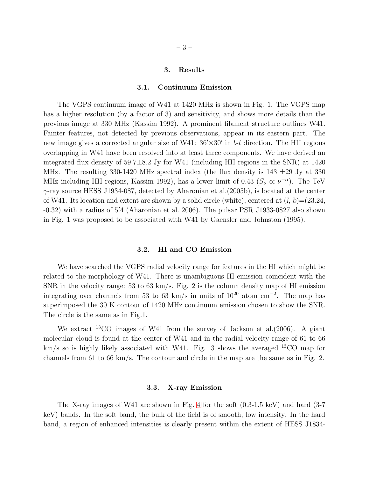#### 3. Results

#### 3.1. Continuum Emission

The VGPS continuum image of W41 at 1420 MHz is shown in Fig. 1. The VGPS map has a higher resolution (by a factor of 3) and sensitivity, and shows more details than the previous image at 330 MHz (Kassim 1992). A prominent filament structure outlines W41. Fainter features, not detected by previous observations, appear in its eastern part. The new image gives a corrected angular size of W41:  $36' \times 30'$  in b-l direction. The HII regions overlapping in W41 have been resolved into at least three components. We have derived an integrated flux density of  $59.7\pm8.2$  Jy for W41 (including HII regions in the SNR) at 1420 MHz. The resulting 330-1420 MHz spectral index (the flux density is  $143 \pm 29$  Jy at 330 MHz including HII regions, Kassim 1992), has a lower limit of 0.43 ( $S_{\nu} \propto \nu^{-\alpha}$ ). The TeV  $\gamma$ -ray source HESS J1934-087, detected by Aharonian et al.(2005b), is located at the center of W41. Its location and extent are shown by a solid circle (white), centered at  $(l, b) = (23.24,$ -0.32) with a radius of 5. ′4 (Aharonian et al. 2006). The pulsar PSR J1933-0827 also shown in Fig. 1 was proposed to be associated with W41 by Gaensler and Johnston (1995).

#### 3.2. HI and CO Emission

We have searched the VGPS radial velocity range for features in the HI which might be related to the morphology of W41. There is unambiguous HI emission coincident with the SNR in the velocity range: 53 to 63 km/s. Fig. 2 is the column density map of HI emission integrating over channels from 53 to 63 km/s in units of  $10^{20}$  atom cm<sup>-2</sup>. The map has superimposed the 30 K contour of 1420 MHz continuum emission chosen to show the SNR. The circle is the same as in Fig.1.

We extract <sup>13</sup>CO images of W41 from the survey of Jackson et al.(2006). A giant molecular cloud is found at the center of W41 and in the radial velocity range of 61 to 66  $km/s$  so is highly likely associated with W41. Fig. 3 shows the averaged  $^{13}CO$  map for channels from 61 to 66 km/s. The contour and circle in the map are the same as in Fig. 2.

#### 3.3. X-ray Emission

The X-ray images of W41 are shown in Fig. [4](#page-12-0) for the soft (0.3-1.5 keV) and hard (3-7 keV) bands. In the soft band, the bulk of the field is of smooth, low intensity. In the hard band, a region of enhanced intensities is clearly present within the extent of HESS J1834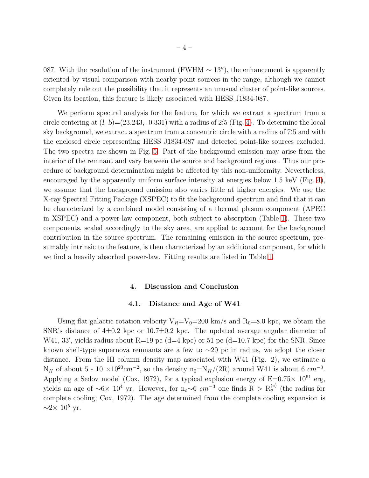087. With the resolution of the instrument (FWHM  $\sim 13''$ ), the enhancement is apparently extented by visual comparison with nearby point sources in the range, although we cannot completely rule out the possibility that it represents an unusual cluster of point-like sources. Given its location, this feature is likely associated with HESS J1834-087.

We perform spectral analysis for the feature, for which we extract a spectrum from a circle centering at  $(l, b) = (23.243, -0.331)$  with a radius of 2'.5 (Fig. [4\)](#page-12-0). To determine the local sky background, we extract a spectrum from a concentric circle with a radius of 7. ′5 and with the enclosed circle representing HESS J1834-087 and detected point-like sources excluded. The two spectra are shown in Fig. [5.](#page-13-0) Part of the background emission may arise from the interior of the remnant and vary between the source and background regions . Thus our procedure of background determination might be affected by this non-uniformity. Nevertheless, encouraged by the apparently uniform surface intensity at energies below 1.5 keV (Fig. [4\)](#page-12-0), we assume that the background emission also varies little at higher energies. We use the X-ray Spectral Fitting Package (XSPEC) to fit the background spectrum and find that it can be characterized by a combined model consisting of a thermal plasma component (APEC in XSPEC) and a power-law component, both subject to absorption (Table 1). These two components, scaled accordingly to the sky area, are applied to account for the background contribution in the source spectrum. The remaining emission in the source spectrum, presumably intrinsic to the feature, is then characterized by an additional component, for which we find a heavily absorbed power-law. Fitting results are listed in Table 1.

#### 4. Discussion and Conclusion

#### 4.1. Distance and Age of W41

Using flat galactic rotation velocity  $V_R=V_0=200$  km/s and  $R_0=8.0$  kpc, we obtain the SNR's distance of  $4\pm0.2$  kpc or  $10.7\pm0.2$  kpc. The updated average angular diameter of W41, 33', yields radius about R=19 pc (d=4 kpc) or 51 pc (d=10.7 kpc) for the SNR. Since known shell-type supernova remnants are a few to ∼20 pc in radius, we adopt the closer distance. From the HI column density map associated with W41 (Fig. 2), we estimate a N<sub>H</sub> of about 5 - 10 ×10<sup>20</sup>cm<sup>-2</sup>, so the density n<sub>0</sub>=N<sub>H</sub>/(2R) around W41 is about 6 cm<sup>-3</sup>. Applying a Sedov model (Cox, 1972), for a typical explosion energy of  $E=0.75\times 10^{51}$  erg, yields an age of ~6× 10<sup>4</sup> yr. However, for n<sub>o</sub>∼6  $cm^{-3}$  one finds R >  $R_s^{(c)}$  (the radius for complete cooling; Cox, 1972). The age determined from the complete cooling expansion is  $\sim$ 2× 10<sup>5</sup> yr.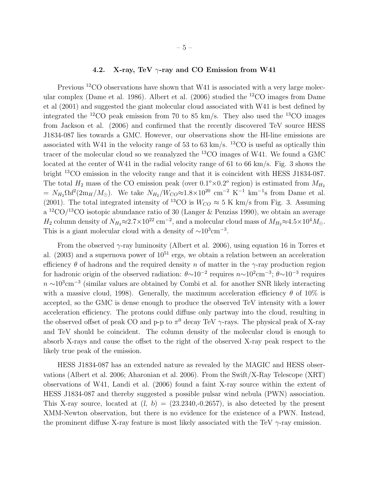# 4.2. X-ray, TeV  $\gamma$ -ray and CO Emission from W41

Previous <sup>12</sup>CO observations have shown that W41 is associated with a very large molecular complex (Dame et al. 1986). Albert et al. (2006) studied the <sup>12</sup>CO images from Dame et al (2001) and suggested the giant molecular cloud associated with W41 is best defined by integrated the <sup>12</sup>CO peak emission from 70 to 85 km/s. They also used the <sup>13</sup>CO images from Jackson et al. (2006) and confirmed that the recently discovered TeV source HESS J1834-087 lies towards a GMC. However, our observations show the HI-line emissions are associated with W41 in the velocity range of 53 to 63 km/s.  $^{13}$ CO is useful as optically thin tracer of the molecular cloud so we reanalyzed the <sup>13</sup>CO images of W41. We found a GMC located at the center of W41 in the radial velocity range of 61 to 66 km/s. Fig. 3 shows the bright <sup>13</sup>CO emission in the velocity range and that it is coincident with HESS J1834-087. The total  $H_2$  mass of the CO emission peak (over  $0.1^{\circ} \times 0.2^{\circ}$  region) is estimated from  $M_{H_2}$  $= N_{H_2} \Omega d^2 (2m_H/M_{\odot})$ . We take  $N_{H_2}/W_{CO} \approx 1.8 \times 10^{20}$  cm<sup>-2</sup> K<sup>-1</sup> km<sup>-1</sup>s from Dame et al. (2001). The total integrated intensity of <sup>13</sup>CO is  $W_{CO} \approx 5$  K km/s from Fig. 3. Assuming  $a^{12}CO/^{13}CO$  isotopic abundance ratio of 30 (Langer & Penzias 1990), we obtain an average  $H_2$  column density of  $N_{H_2} \approx 2.7 \times 10^{22}$  cm<sup>-2</sup>, and a molecular cloud mass of  $M_{H_2} \approx 4.5 \times 10^4 M_{\odot}$ . This is a giant molecular cloud with a density of  $\sim 10^3$ cm<sup>-3</sup>.

From the observed  $\gamma$ -ray luminosity (Albert et al. 2006), using equation 16 in Torres et al.  $(2003)$  and a supernova power of  $10^{51}$  ergs, we obtain a relation between an acceleration efficiency  $\theta$  of hadrons and the required density n of matter in the  $\gamma$ -ray production region for hadronic origin of the observed radiation:  $\theta \sim 10^{-2}$  requires  $n \sim 10^2$ cm<sup>-3</sup>;  $\theta \sim 10^{-3}$  requires  $n \sim 10^3$ cm<sup>-3</sup> (similar values are obtained by Combi et al. for another SNR likely interacting with a massive cloud, 1998). Generally, the maximum acceleration efficiency  $\theta$  of 10% is accepted, so the GMC is dense enough to produce the observed TeV intensity with a lower acceleration efficiency. The protons could diffuse only partway into the cloud, resulting in the observed offset of peak CO and p-p to  $\pi^0$  decay TeV  $\gamma$ -rays. The physical peak of X-ray and TeV should be coincident. The column density of the molecular cloud is enough to absorb X-rays and cause the offset to the right of the observed X-ray peak respect to the likely true peak of the emission.

HESS J1834-087 has an extended nature as revealed by the MAGIC and HESS observations (Albert et al. 2006; Aharonian et al. 2006). From the Swift/X-Ray Telescope (XRT) observations of W41, Landi et al. (2006) found a faint X-ray source within the extent of HESS J1834-087 and thereby suggested a possible pulsar wind nebula (PWN) association. This X-ray source, located at  $(l, b) = (23.2340, 0.2657)$ , is also detected by the present XMM-Newton observation, but there is no evidence for the existence of a PWN. Instead, the prominent diffuse X-ray feature is most likely associated with the TeV  $\gamma$ -ray emission.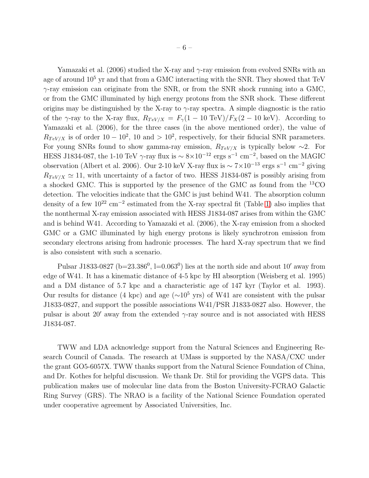Yamazaki et al. (2006) studied the X-ray and  $\gamma$ -ray emission from evolved SNRs with an age of around  $10^5$  yr and that from a GMC interacting with the SNR. They showed that TeV  $\gamma$ -ray emission can originate from the SNR, or from the SNR shock running into a GMC, or from the GMC illuminated by high energy protons from the SNR shock. These different origins may be distinguished by the X-ray to  $\gamma$ -ray spectra. A simple diagnostic is the ratio of the  $\gamma$ -ray to the X-ray flux,  $R_{TeV/X} = F_{\gamma}(1 - 10 \text{ TeV})/F_X(2 - 10 \text{ keV})$ . According to Yamazaki et al. (2006), for the three cases (in the above mentioned order), the value of  $R_{TeV/X}$  is of order 10 – 10<sup>2</sup>, 10 and > 10<sup>2</sup>, respectively, for their fiducial SNR parameters. For young SNRs found to show gamma-ray emission,  $R_{TeV/X}$  is typically below ∼2. For HESS J1834-087, the 1-10 TeV  $\gamma$ -ray flux is  $\sim 8 \times 10^{-12}$  ergs s<sup>-1</sup> cm<sup>-2</sup>, based on the MAGIC observation (Albert et al. 2006). Our 2-10 keV X-ray flux is  $\sim 7 \times 10^{-13}$  ergs s<sup>-1</sup> cm<sup>-2</sup> giving  $R_{TeV/X} \simeq 11$ , with uncertainty of a factor of two. HESS J1834-087 is possibly arising from a shocked GMC. This is supported by the presence of the GMC as found from the <sup>13</sup>CO detection. The velocities indicate that the GMC is just behind W41. The absorption column density of a few  $10^{22}$  cm<sup>-2</sup> estimated from the X-ray spectral fit (Table 1) also implies that the nonthermal X-ray emission associated with HESS J1834-087 arises from within the GMC and is behind W41. According to Yamazaki et al. (2006), the X-ray emission from a shocked GMC or a GMC illuminated by high energy protons is likely synchrotron emission from secondary electrons arising from hadronic processes. The hard X-ray spectrum that we find is also consistent with such a scenario.

Pulsar J1833-0827 ( $b=23.386^0$ ,  $l=0.063^0$ ) lies at the north side and about 10' away from edge of W41. It has a kinematic distance of 4-5 kpc by HI absorption (Weisberg et al. 1995) and a DM distance of 5.7 kpc and a characteristic age of 147 kyr (Taylor et al. 1993). Our results for distance (4 kpc) and age ( $\sim$ 10<sup>5</sup> yrs) of W41 are consistent with the pulsar J1833-0827, and support the possible associations W41/PSR J1833-0827 also. However, the pulsar is about 20' away from the extended  $\gamma$ -ray source and is not associated with HESS J1834-087.

TWW and LDA acknowledge support from the Natural Sciences and Engineering Research Council of Canada. The research at UMass is supported by the NASA/CXC under the grant GO5-6057X. TWW thanks support from the Natural Science Foundation of China, and Dr. Kothes for helpful discussion. We thank Dr. Stil for providing the VGPS data. This publication makes use of molecular line data from the Boston University-FCRAO Galactic Ring Survey (GRS). The NRAO is a facility of the National Science Foundation operated under cooperative agreement by Associated Universities, Inc.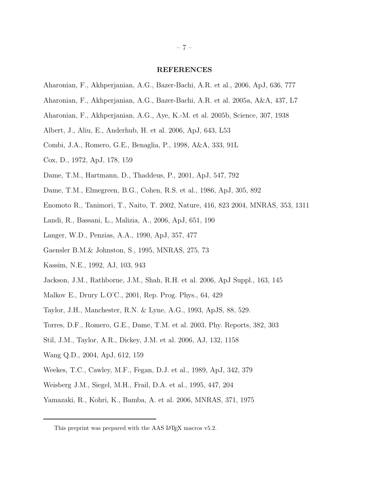#### REFERENCES

- Aharonian, F., Akhperjanian, A.G., Bazer-Bachi, A.R. et al., 2006, ApJ, 636, 777
- Aharonian, F., Akhperjanian, A.G., Bazer-Bachi, A.R. et al. 2005a, A&A, 437, L7
- Aharonian, F., Akhperjanian, A.G., Aye, K.-M. et al. 2005b, Science, 307, 1938
- Albert, J., Aliu, E., Anderhub, H. et al. 2006, ApJ, 643, L53
- Combi, J.A., Romero, G.E., Benaglia, P., 1998, A&A, 333, 91L
- Cox, D., 1972, ApJ, 178, 159
- Dame, T.M., Hartmann, D., Thaddeus, P., 2001, ApJ, 547, 792
- Dame, T.M., Elmegreen, B.G., Cohen, R.S. et al., 1986, ApJ, 305, 892
- Enomoto R., Tanimori, T., Naito, T. 2002, Nature, 416, 823 2004, MNRAS, 353, 1311
- Landi, R., Bassani, L., Malizia, A., 2006, ApJ, 651, 190
- Langer, W.D., Penzias, A.A., 1990, ApJ, 357, 477
- Gaensler B.M.& Johnston, S., 1995, MNRAS, 275, 73
- Kassim, N.E., 1992, AJ, 103, 943
- Jackson, J.M., Rathborne, J.M., Shah, R.H. et al. 2006, ApJ Suppl., 163, 145
- Malkov E., Drury L.O'C., 2001, Rep. Prog. Phys., 64, 429
- Taylor, J.H., Manchester, R.N. & Lyne, A.G., 1993, ApJS, 88, 529.
- Torres, D.F., Romero, G.E., Dame, T.M. et al. 2003, Phy. Reports, 382, 303
- Stil, J.M., Taylor, A.R., Dickey, J.M. et al. 2006, AJ, 132, 1158
- Wang Q.D., 2004, ApJ, 612, 159
- Weekes, T.C., Cawley, M.F., Fegan, D.J. et al., 1989, ApJ, 342, 379
- Weisberg J.M., Siegel, M.H., Frail, D.A. et al., 1995, 447, 204
- Yamazaki, R., Kohri, K., Bamba, A. et al. 2006, MNRAS, 371, 1975

This preprint was prepared with the AAS IATEX macros v5.2.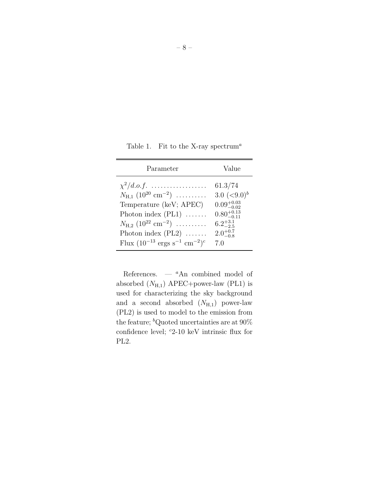Table 1. Fit to the X-ray spectrum<sup>a</sup>

| Parameter                                               | Value                  |
|---------------------------------------------------------|------------------------|
| $\chi^2/d.o.f.$                                         | 61.3/74                |
| $N_{\rm H,1}$ (10 <sup>20</sup> cm <sup>-2</sup> )      | 3.0 $(< 9.0)^b$        |
| Temperature (keV; APEC)                                 | $0.09^{+0.03}_{-0.02}$ |
| Photon index $(PL1)$                                    | $0.80^{+0.13}_{-0.11}$ |
| $N_{\rm H.2}$ $(10^{22} \text{ cm}^{-2}) \dots \dots$   | $6.2^{+3.1}_{-2.5}$    |
| Photon index $(PL2)$                                    | $2.0^{+0.7}_{-0.8}$    |
| Flux $(10^{-13} \text{ ergs s}^{-1} \text{ cm}^{-2})^c$ | 7.0                    |

References.  $-$  <sup>a</sup>An combined model of absorbed  $(N_{H,1})$  APEC+power-law (PL1) is used for characterizing the sky background and a second absorbed  $(N_{\text{H},1})$  power-law (PL2) is used to model to the emission from the feature;  ${}^b$ Quoted uncertainties are at 90% confidence level;  $c_2$ -10 keV intrinsic flux for PL2.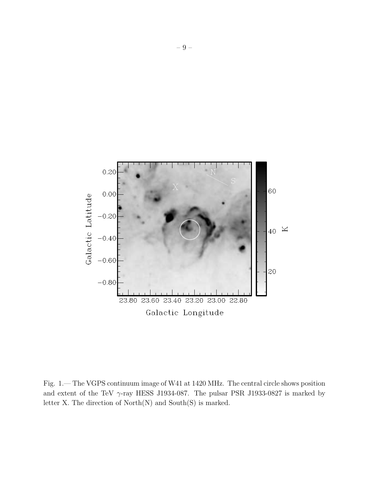

Fig. 1.— The VGPS continuum image of W41 at 1420 MHz. The central circle shows position and extent of the TeV  $\gamma$ -ray HESS J1934-087. The pulsar PSR J1933-0827 is marked by letter X. The direction of North(N) and South(S) is marked.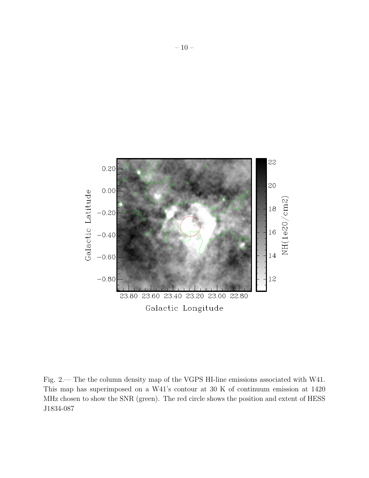

Fig. 2.— The the column density map of the VGPS HI-line emissions associated with W41. This map has superimposed on a W41's contour at 30 K of continuum emission at 1420 MHz chosen to show the SNR (green). The red circle shows the position and extent of HESS J1834-087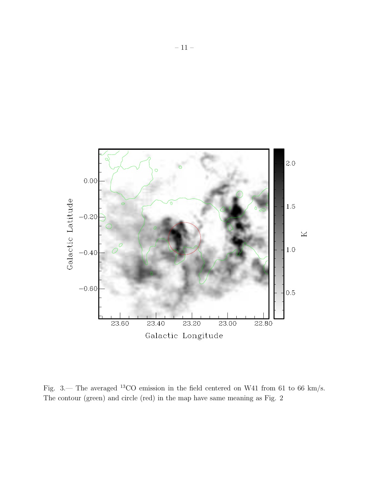

Fig. 3.— The averaged <sup>13</sup>CO emission in the field centered on W41 from 61 to 66 km/s. The contour (green) and circle (red) in the map have same meaning as Fig. 2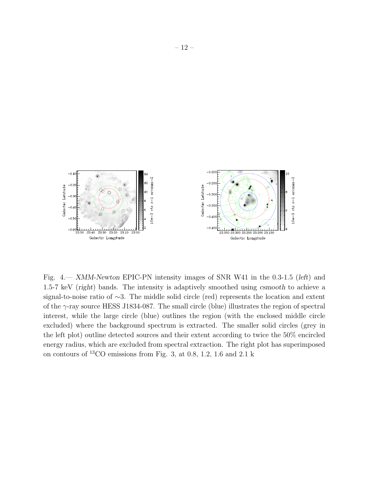

<span id="page-12-0"></span>Fig. 4.— XMM-Newton EPIC-PN intensity images of SNR W41 in the 0.3-1.5 (left) and 1.5-7 keV (right) bands. The intensity is adaptively smoothed using csmooth to achieve a signal-to-noise ratio of ∼3. The middle solid circle (red) represents the location and extent of the  $\gamma$ -ray source HESS J1834-087. The small circle (blue) illustrates the region of spectral interest, while the large circle (blue) outlines the region (with the enclosed middle circle excluded) where the background spectrum is extracted. The smaller solid circles (grey in the left plot) outline detected sources and their extent according to twice the 50% encircled energy radius, which are excluded from spectral extraction. The right plot has superimposed on contours of <sup>13</sup>CO emissions from Fig. 3, at 0.8, 1.2, 1.6 and 2.1 k